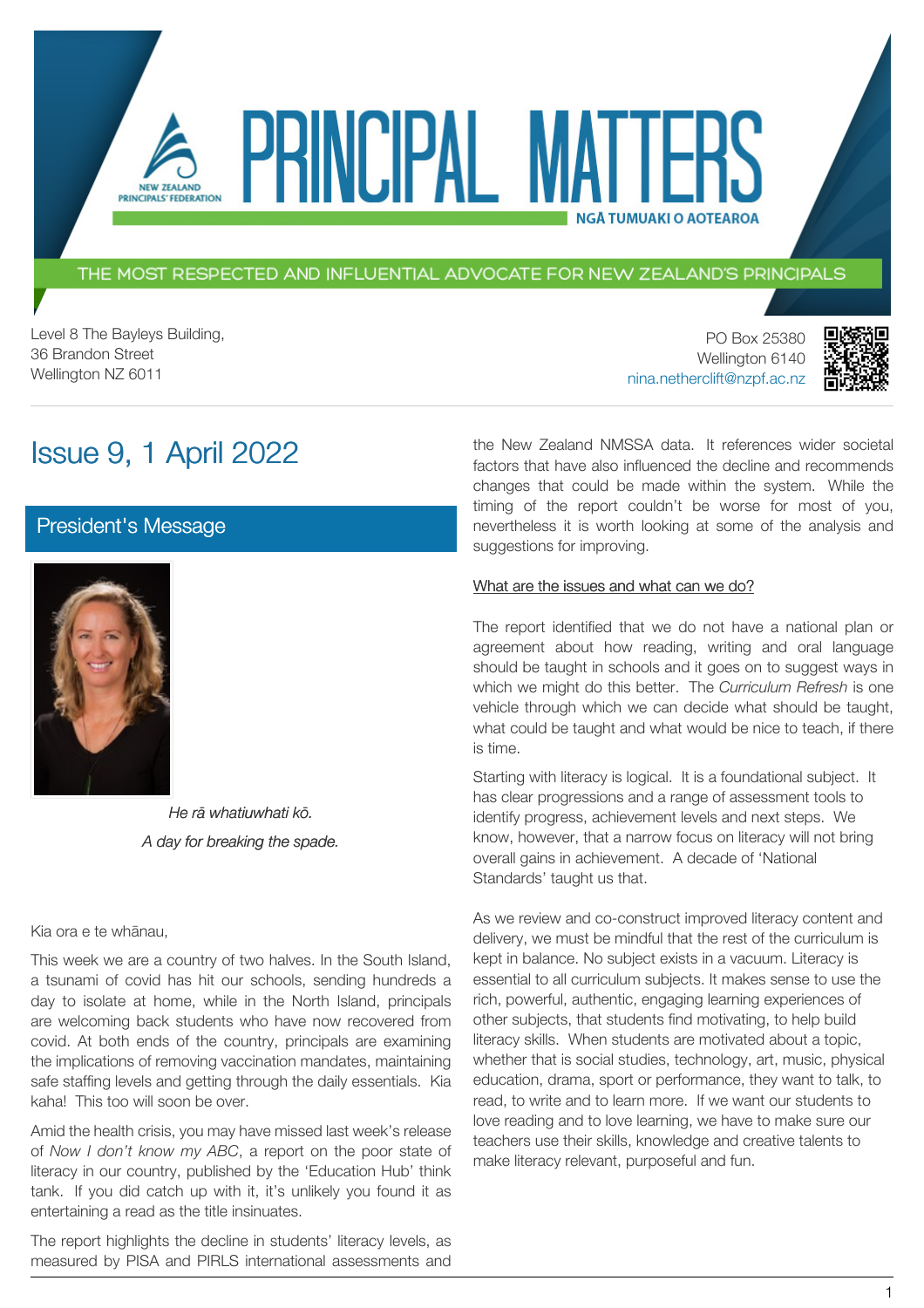### THE MOST RESPECTED AND INFLUENTIAL ADVOCATE FOR NEW ZEALAND'S PRINCIPALS

PRINCIPAL MA

Level 8 The Bayleys Building, 36 Brandon Street Wellington NZ 6011

PO Box 25380 Wellington 6140 [nina.netherclift@nzpf.ac.nz](mailto:mailto:nina.netherclift@nzpf.ac.nz)



# Issue 9, 1 April 2022

NEW ZEALAND PRINCIPALS' FEDERATION

### [President's Message](https://nzpf.schoolzineplus.com/newsletter/article/511?skin=1)



*He rā whatiuwhati kō. A day for breaking the spade.*

Kia ora e te whānau,

This week we are a country of two halves. In the South Island, a tsunami of covid has hit our schools, sending hundreds a day to isolate at home, while in the North Island, principals are welcoming back students who have now recovered from covid. At both ends of the country, principals are examining the implications of removing vaccination mandates, maintaining safe staffing levels and getting through the daily essentials. Kia kaha! This too will soon be over.

Amid the health crisis, you may have missed last week's release of *Now I don't know my ABC*, a report on the poor state of literacy in our country, published by the 'Education Hub' think tank. If you did catch up with it, it's unlikely you found it as entertaining a read as the title insinuates.

The report highlights the decline in students' literacy levels, as measured by PISA and PIRLS international assessments and

#### What are the issues and what can we do?

suggestions for improving.

The report identified that we do not have a national plan or agreement about how reading, writing and oral language should be taught in schools and it goes on to suggest ways in which we might do this better. The *Curriculum Refresh* is one vehicle through which we can decide what should be taught, what could be taught and what would be nice to teach, if there is time.

the New Zealand NMSSA data. It references wider societal factors that have also influenced the decline and recommends changes that could be made within the system. While the timing of the report couldn't be worse for most of you, nevertheless it is worth looking at some of the analysis and

**NGÅ TUMUAKI O AOTEAROA** 

Starting with literacy is logical. It is a foundational subject. It has clear progressions and a range of assessment tools to identify progress, achievement levels and next steps. We know, however, that a narrow focus on literacy will not bring overall gains in achievement. A decade of 'National Standards' taught us that.

As we review and co-construct improved literacy content and delivery, we must be mindful that the rest of the curriculum is kept in balance. No subject exists in a vacuum. Literacy is essential to all curriculum subjects. It makes sense to use the rich, powerful, authentic, engaging learning experiences of other subjects, that students find motivating, to help build literacy skills. When students are motivated about a topic, whether that is social studies, technology, art, music, physical education, drama, sport or performance, they want to talk, to read, to write and to learn more. If we want our students to love reading and to love learning, we have to make sure our teachers use their skills, knowledge and creative talents to make literacy relevant, purposeful and fun.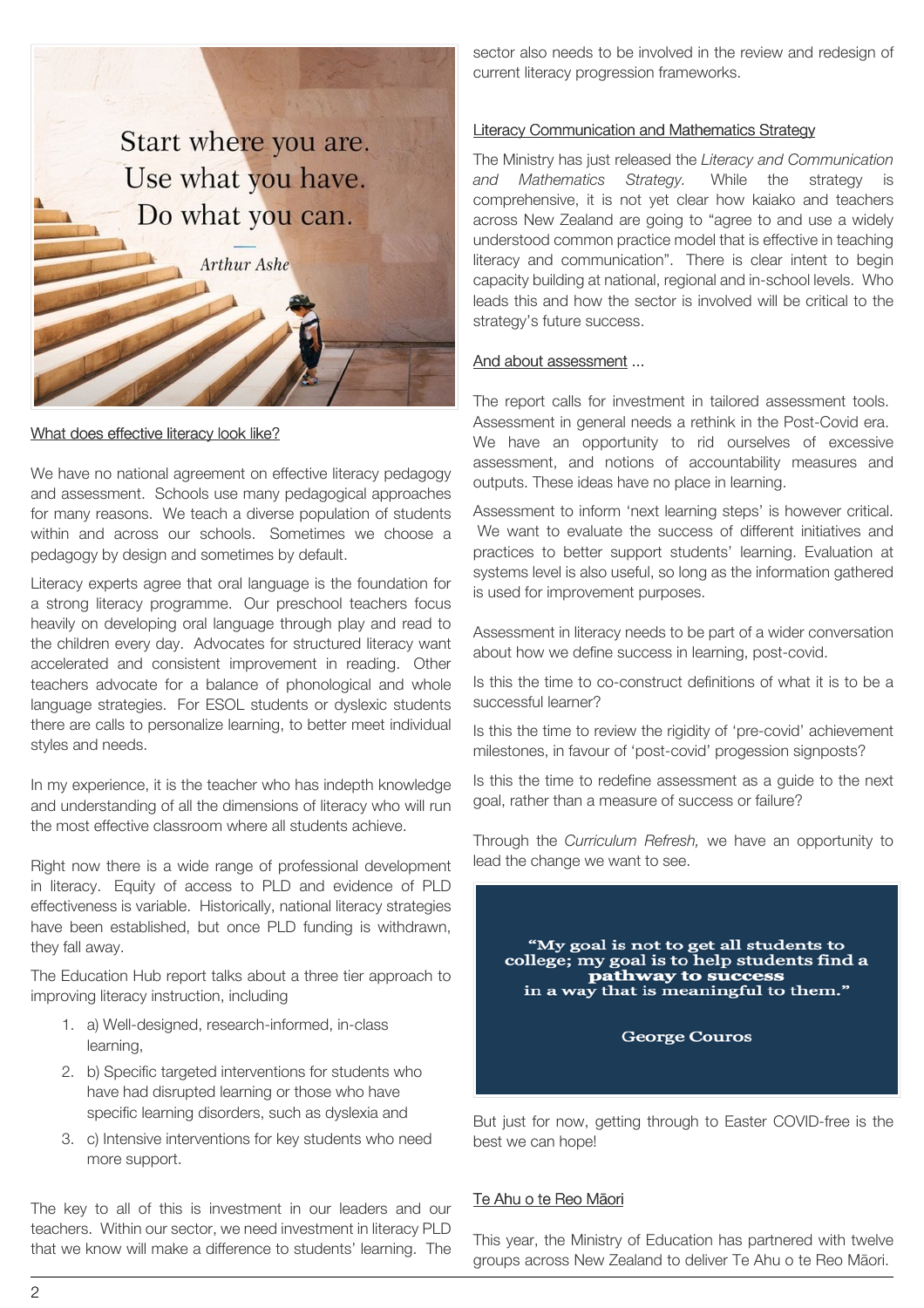

What does effective literacy look like?

We have no national agreement on effective literacy pedagogy and assessment. Schools use many pedagogical approaches for many reasons. We teach a diverse population of students within and across our schools. Sometimes we choose a pedagogy by design and sometimes by default.

Literacy experts agree that oral language is the foundation for a strong literacy programme. Our preschool teachers focus heavily on developing oral language through play and read to the children every day. Advocates for structured literacy want accelerated and consistent improvement in reading. Other teachers advocate for a balance of phonological and whole language strategies. For ESOL students or dyslexic students there are calls to personalize learning, to better meet individual styles and needs.

In my experience, it is the teacher who has indepth knowledge and understanding of all the dimensions of literacy who will run the most effective classroom where all students achieve.

Right now there is a wide range of professional development in literacy. Equity of access to PLD and evidence of PLD effectiveness is variable. Historically, national literacy strategies have been established, but once PLD funding is withdrawn, they fall away.

The Education Hub report talks about a three tier approach to improving literacy instruction, including

- 1. a) Well-designed, research-informed, in-class learning,
- 2. b) Specific targeted interventions for students who have had disrupted learning or those who have specific learning disorders, such as dyslexia and
- 3. c) Intensive interventions for key students who need more support.

The key to all of this is investment in our leaders and our teachers. Within our sector, we need investment in literacy PLD that we know will make a difference to students' learning. The

sector also needs to be involved in the review and redesign of current literacy progression frameworks.

#### Literacy Communication and Mathematics Strategy

The Ministry has just released the *Literacy and Communication and Mathematics Strategy.* While the strategy is comprehensive, it is not yet clear how kaiako and teachers across New Zealand are going to "agree to and use a widely understood common practice model that is effective in teaching literacy and communication". There is clear intent to begin capacity building at national, regional and in-school levels. Who leads this and how the sector is involved will be critical to the strategy's future success.

#### And about assessment ...

The report calls for investment in tailored assessment tools. Assessment in general needs a rethink in the Post-Covid era. We have an opportunity to rid ourselves of excessive assessment, and notions of accountability measures and outputs. These ideas have no place in learning.

Assessment to inform 'next learning steps' is however critical. We want to evaluate the success of different initiatives and practices to better support students' learning. Evaluation at systems level is also useful, so long as the information gathered is used for improvement purposes.

Assessment in literacy needs to be part of a wider conversation about how we define success in learning, post-covid.

Is this the time to co-construct definitions of what it is to be a successful learner?

Is this the time to review the rigidity of 'pre-covid' achievement milestones, in favour of 'post-covid' progession signposts?

Is this the time to redefine assessment as a guide to the next goal, rather than a measure of success or failure?

Through the *Curriculum Refresh,* we have an opportunity to lead the change we want to see.



But just for now, getting through to Easter COVID-free is the best we can hope!

### Te Ahu o te Reo Māori

This year, the Ministry of Education has partnered with twelve groups across New Zealand to deliver Te Ahu o te Reo Māori.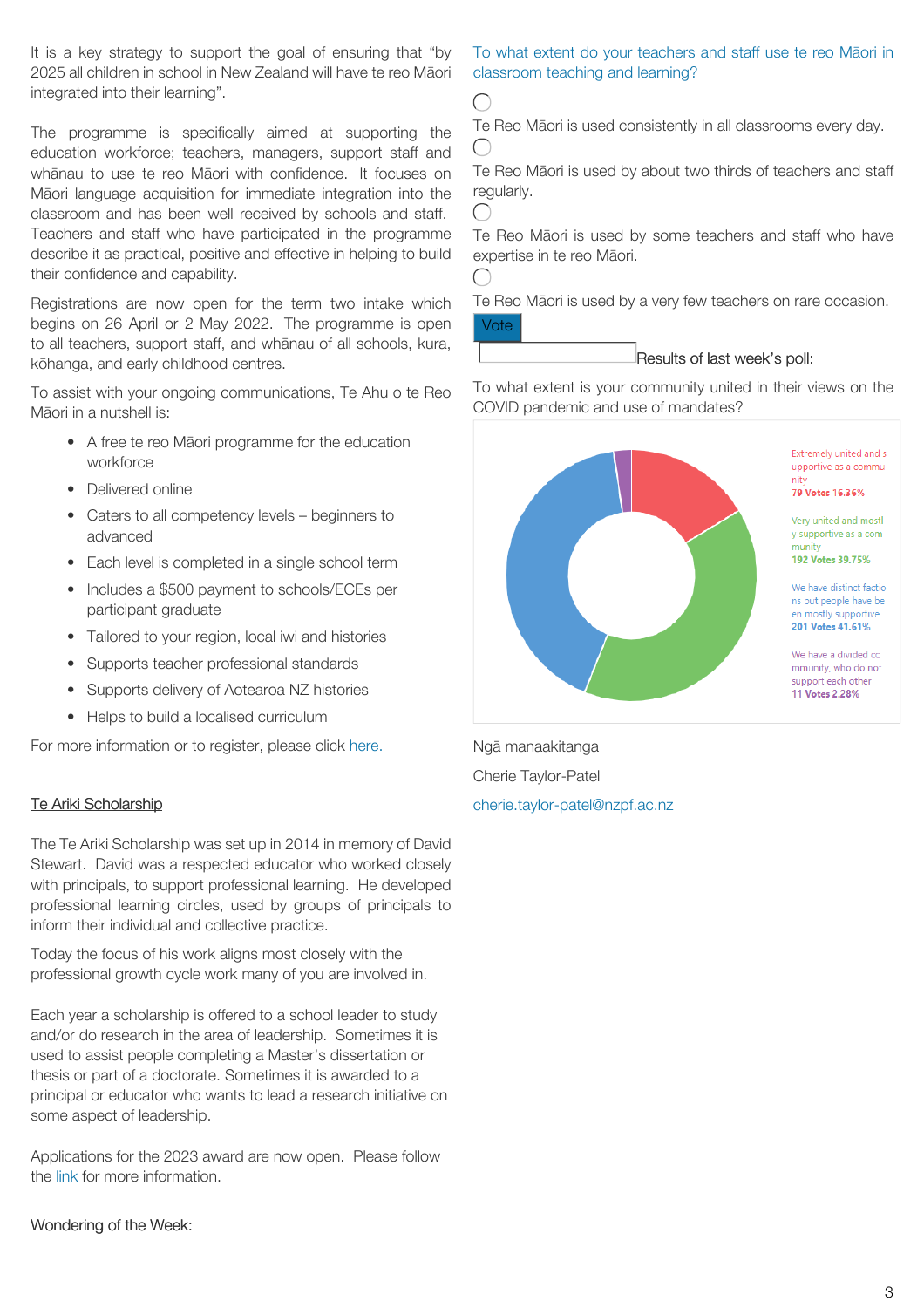It is a key strategy to support the goal of ensuring that "by 2025 all children in school in New Zealand will have te reo Māori integrated into their learning".

The programme is specifically aimed at supporting the education workforce; teachers, managers, support staff and whānau to use te reo Māori with confidence. It focuses on Māori language acquisition for immediate integration into the classroom and has been well received by schools and staff. Teachers and staff who have participated in the programme describe it as practical, positive and effective in helping to build their confidence and capability.

Registrations are now open for the term two intake which begins on 26 April or 2 May 2022. The programme is open to all teachers, support staff, and whānau of all schools, kura, kōhanga, and early childhood centres.

To assist with your ongoing communications, Te Ahu o te Reo Māori in a nutshell is:

- A free te reo Māori programme for the education workforce
- Delivered online
- Caters to all competency levels beginners to advanced
- Each level is completed in a single school term
- Includes a \$500 payment to schools/ECEs per participant graduate
- Tailored to your region, local iwi and histories
- Supports teacher professional standards
- Supports delivery of Aotearoa NZ histories
- Helps to build a localised curriculum

For more information or to register, please click [here.](https://www.education.govt.nz/our-work/overall-strategies-and-policies/te-ahu-o-te-reo-maori-fostering-education-in-te-reo-maori/)

### Te Ariki Scholarship

The Te Ariki Scholarship was set up in 2014 in memory of David Stewart. David was a respected educator who worked closely with principals, to support professional learning. He developed professional learning circles, used by groups of principals to inform their individual and collective practice.

Today the focus of his work aligns most closely with the professional growth cycle work many of you are involved in.

Each year a scholarship is offered to a school leader to study and/or do research in the area of leadership. Sometimes it is used to assist people completing a Master's dissertation or thesis or part of a doctorate. Sometimes it is awarded to a principal or educator who wants to lead a research initiative on some aspect of leadership.

Applications for the 2023 award are now open. Please follow the [link](https://dsmscholarship.org.nz/about-the-scholarship/) for more information.

# Wondering of the Week:

## To what extent do your teachers and staff use te reo Māori in classroom teaching and learning?

 $\bigcap$ 

Te Reo Māori is used consistently in all classrooms every day.  $\bigcap$ 

Te Reo Māori is used by about two thirds of teachers and staff regularly.

 $\bigcap$ 

€

Te Reo Māori is used by some teachers and staff who have expertise in te reo Māori.

Te Reo Māori is used by a very few teachers on rare occasion. Vote

#### Results of last week's poll:

To what extent is your community united in their views on the COVID pandemic and use of mandates?



Ngā manaakitanga Cherie Taylor-Patel [cherie.taylor-patel@nzpf.ac.nz](mailto:cherie.taylor-patel@nzpf.ac.nz)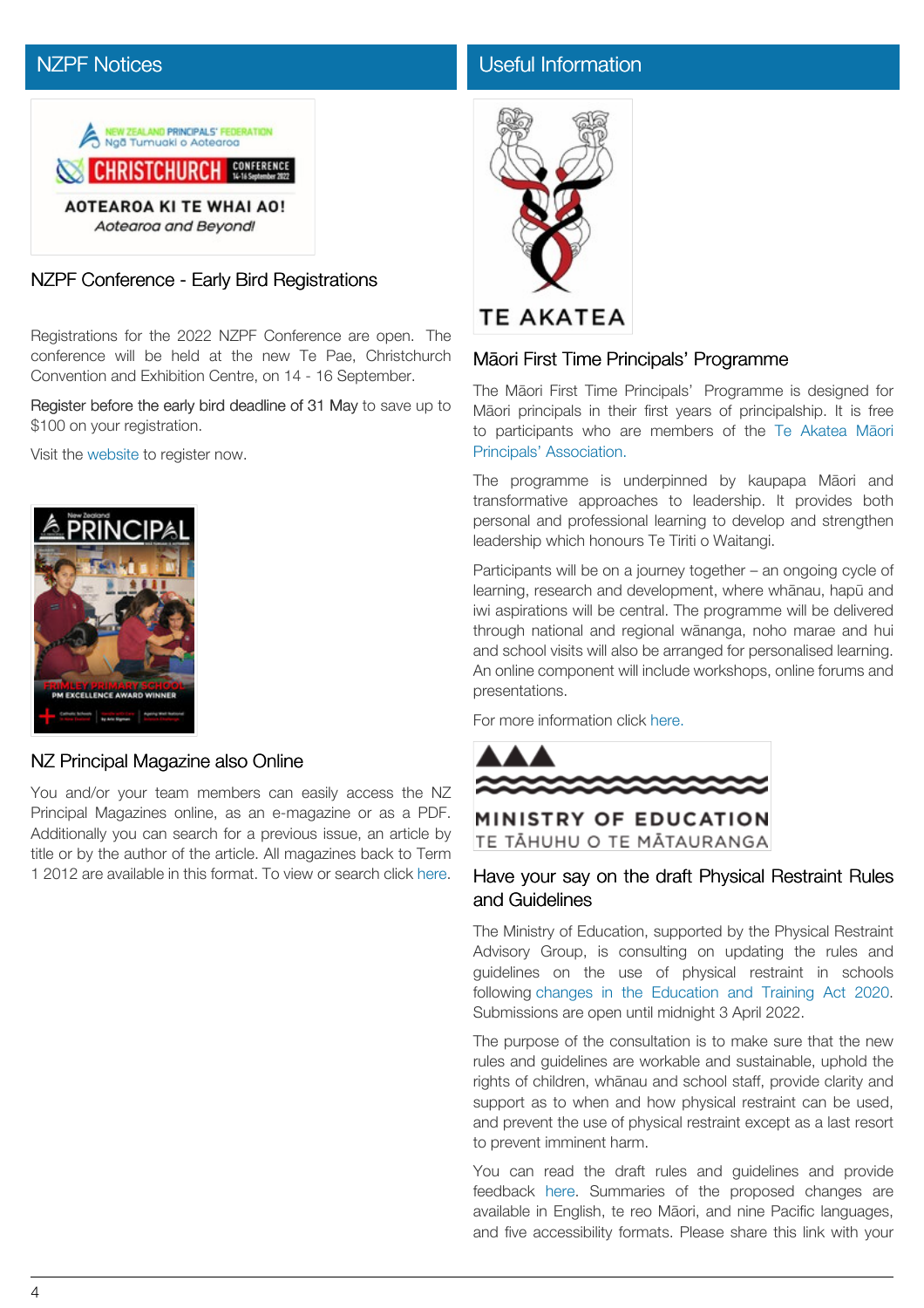# [NZPF Notices](https://nzpf.schoolzineplus.com/newsletter/article/512?skin=1)



NZPF Conference - Early Bird Registrations

Registrations for the 2022 NZPF Conference are open. The conference will be held at the new Te Pae, Christchurch Convention and Exhibition Centre, on 14 - 16 September.

Register before the early bird deadline of 31 May to save up to \$100 on your registration.

Visit the [website](http://www.nzpfconference.com/) to register now.



### NZ Principal Magazine also Online

You and/or your team members can easily access the NZ Principal Magazines online, as an e-magazine or as a PDF. Additionally you can search for a previous issue, an article by title or by the author of the article. All magazines back to Term 1 2012 are available in this format. To view or search click [here.](http://nzprincipal.co.nz/view-the-magazine/)

## [Useful Information](https://nzpf.schoolzineplus.com/newsletter/article/513?skin=1)



# Māori First Time Principals' Programme

The Māori First Time Principals' Programme is designed for Māori principals in their first years of principalship. It is free to participants who are members of the Te [Akatea](https://www.teakatea.co.nz/membership-registration/) Māori [Principals' Association.](https://www.teakatea.co.nz/membership-registration/)

The programme is underpinned by kaupapa Māori and transformative approaches to leadership. It provides both personal and professional learning to develop and strengthen leadership which honours Te Tiriti o Waitangi.

Participants will be on a journey together – an ongoing cycle of learning, research and development, where whānau, hapū and iwi aspirations will be central. The programme will be delivered through national and regional wānanga, noho marae and hui and school visits will also be arranged for personalised learning. An online component will include workshops, online forums and presentations.

For more information click [here.](https://nzpf.schoolzineplus.com/_file/media/312/ma_ori_first_time_principals_programme.pdf)



MINISTRY OF EDUCATION TE TĂHUHU O TE MĂTAURANGA

### Have your say on the draft Physical Restraint Rules and Guidelines

The Ministry of Education, supported by the Physical Restraint Advisory Group, is consulting on updating the rules and guidelines on the use of physical restraint in schools following changes in the [Education](https://www.education.govt.nz/our-work/legislation/education-and-training-act-2020/updating-the-physical-restraint-framework/) and Training Act 2020. Submissions are open until midnight 3 April 2022.

The purpose of the consultation is to make sure that the new rules and guidelines are workable and sustainable, uphold the rights of children, whānau and school staff, provide clarity and support as to when and how physical restraint can be used, and prevent the use of physical restraint except as a last resort to prevent imminent harm.

You can read the draft rules and guidelines and provide feedback [here](https://conversation.education.govt.nz/conversations/consultation-on-the-draft-rules-and-guidelines-on-the-use-of-physical-restraint-at-registered-schools-and-kura-in-new-zealand/). Summaries of the proposed changes are available in English, te reo Māori, and nine Pacific languages, and five accessibility formats. Please share this link with your